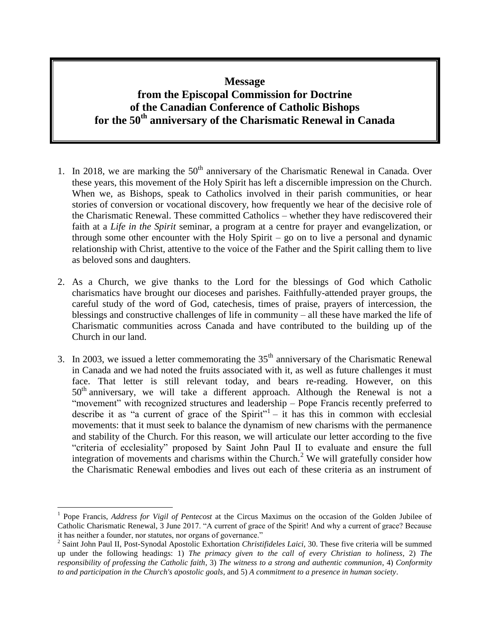# **Message from the Episcopal Commission for Doctrine of the Canadian Conference of Catholic Bishops for the 50th anniversary of the Charismatic Renewal in Canada**

- 1. In 2018, we are marking the  $50<sup>th</sup>$  anniversary of the Charismatic Renewal in Canada. Over these years, this movement of the Holy Spirit has left a discernible impression on the Church. When we, as Bishops, speak to Catholics involved in their parish communities, or hear stories of conversion or vocational discovery, how frequently we hear of the decisive role of the Charismatic Renewal. These committed Catholics – whether they have rediscovered their faith at a *Life in the Spirit* seminar, a program at a centre for prayer and evangelization, or through some other encounter with the Holy Spirit – go on to live a personal and dynamic relationship with Christ, attentive to the voice of the Father and the Spirit calling them to live as beloved sons and daughters.
- 2. As a Church, we give thanks to the Lord for the blessings of God which Catholic charismatics have brought our dioceses and parishes. Faithfully-attended prayer groups, the careful study of the word of God, catechesis, times of praise, prayers of intercession, the blessings and constructive challenges of life in community – all these have marked the life of Charismatic communities across Canada and have contributed to the building up of the Church in our land.
- 3. In 2003, we issued a letter commemorating the  $35<sup>th</sup>$  anniversary of the Charismatic Renewal in Canada and we had noted the fruits associated with it, as well as future challenges it must face. That letter is still relevant today, and bears re-reading. However, on this  $50<sup>th</sup>$  anniversary, we will take a different approach. Although the Renewal is not a "movement" with recognized structures and leadership – Pope Francis recently preferred to describe it as "a current of grace of the Spirit" $-$  it has this in common with ecclesial movements: that it must seek to balance the dynamism of new charisms with the permanence and stability of the Church. For this reason, we will articulate our letter according to the five "criteria of ecclesiality" proposed by Saint John Paul II to evaluate and ensure the full integration of movements and charisms within the Church.<sup>2</sup> We will gratefully consider how the Charismatic Renewal embodies and lives out each of these criteria as an instrument of

 $\overline{a}$ 

<sup>&</sup>lt;sup>1</sup> Pope Francis, *Address for Vigil of Pentecost* at the Circus Maximus on the occasion of the Golden Jubilee of Catholic Charismatic Renewal, 3 June 2017. "A current of grace of the Spirit! And why a current of grace? Because it has neither a founder, nor statutes, nor organs of governance."

<sup>2</sup> Saint John Paul II, Post-Synodal Apostolic Exhortation *Christifideles Laici*, 30. These five criteria will be summed up under the following headings: 1) *The primacy given to the call of every Christian to holiness*, 2) *The responsibility of professing the Catholic faith*, 3) *The witness to a strong and authentic communion*, 4) *Conformity to and participation in the Church's apostolic goals*, and 5) *A commitment to a presence in human society*.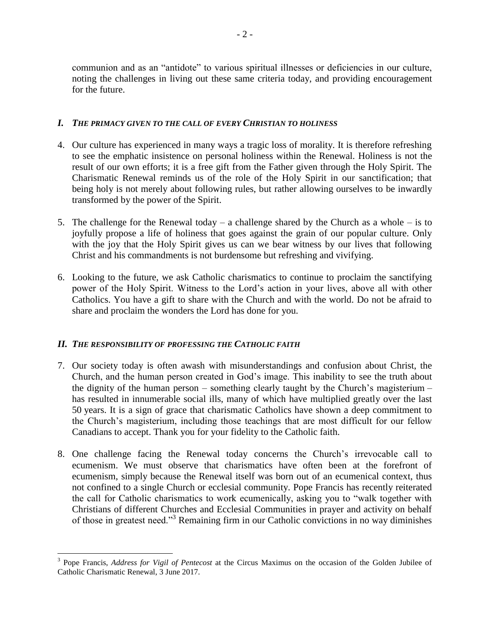communion and as an "antidote" to various spiritual illnesses or deficiencies in our culture, noting the challenges in living out these same criteria today, and providing encouragement for the future.

#### *I. THE PRIMACY GIVEN TO THE CALL OF EVERY CHRISTIAN TO HOLINESS*

- 4. Our culture has experienced in many ways a tragic loss of morality. It is therefore refreshing to see the emphatic insistence on personal holiness within the Renewal. Holiness is not the result of our own efforts; it is a free gift from the Father given through the Holy Spirit. The Charismatic Renewal reminds us of the role of the Holy Spirit in our sanctification; that being holy is not merely about following rules, but rather allowing ourselves to be inwardly transformed by the power of the Spirit.
- 5. The challenge for the Renewal today a challenge shared by the Church as a whole is to joyfully propose a life of holiness that goes against the grain of our popular culture. Only with the joy that the Holy Spirit gives us can we bear witness by our lives that following Christ and his commandments is not burdensome but refreshing and vivifying.
- 6. Looking to the future, we ask Catholic charismatics to continue to proclaim the sanctifying power of the Holy Spirit. Witness to the Lord's action in your lives, above all with other Catholics. You have a gift to share with the Church and with the world. Do not be afraid to share and proclaim the wonders the Lord has done for you.

## *II. THE RESPONSIBILITY OF PROFESSING THE CATHOLIC FAITH*

 $\overline{a}$ 

- 7. Our society today is often awash with misunderstandings and confusion about Christ, the Church, and the human person created in God's image. This inability to see the truth about the dignity of the human person – something clearly taught by the Church's magisterium – has resulted in innumerable social ills, many of which have multiplied greatly over the last 50 years. It is a sign of grace that charismatic Catholics have shown a deep commitment to the Church's magisterium, including those teachings that are most difficult for our fellow Canadians to accept. Thank you for your fidelity to the Catholic faith.
- 8. One challenge facing the Renewal today concerns the Church's irrevocable call to ecumenism. We must observe that charismatics have often been at the forefront of ecumenism, simply because the Renewal itself was born out of an ecumenical context, thus not confined to a single Church or ecclesial community. Pope Francis has recently reiterated the call for Catholic charismatics to work ecumenically, asking you to "walk together with Christians of different Churches and Ecclesial Communities in prayer and activity on behalf of those in greatest need."<sup>3</sup> Remaining firm in our Catholic convictions in no way diminishes

<sup>3</sup> Pope Francis, *Address for Vigil of Pentecost* at the Circus Maximus on the occasion of the Golden Jubilee of Catholic Charismatic Renewal, 3 June 2017.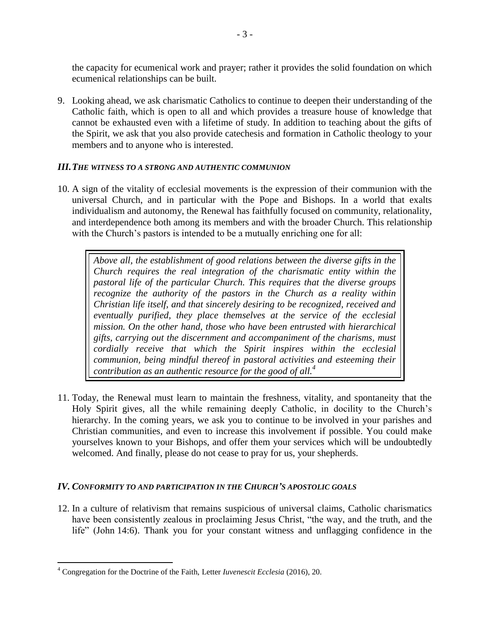the capacity for ecumenical work and prayer; rather it provides the solid foundation on which ecumenical relationships can be built.

9. Looking ahead, we ask charismatic Catholics to continue to deepen their understanding of the Catholic faith, which is open to all and which provides a treasure house of knowledge that cannot be exhausted even with a lifetime of study. In addition to teaching about the gifts of the Spirit, we ask that you also provide catechesis and formation in Catholic theology to your members and to anyone who is interested.

### *III.THE WITNESS TO A STRONG AND AUTHENTIC COMMUNION*

10. A sign of the vitality of ecclesial movements is the expression of their communion with the universal Church, and in particular with the Pope and Bishops. In a world that exalts individualism and autonomy, the Renewal has faithfully focused on community, relationality, and interdependence both among its members and with the broader Church. This relationship with the Church's pastors is intended to be a mutually enriching one for all:

*Above all, the establishment of good relations between the diverse gifts in the Church requires the real integration of the charismatic entity within the pastoral life of the particular Church. This requires that the diverse groups recognize the authority of the pastors in the Church as a reality within Christian life itself, and that sincerely desiring to be recognized, received and eventually purified, they place themselves at the service of the ecclesial mission. On the other hand, those who have been entrusted with hierarchical gifts, carrying out the discernment and accompaniment of the charisms, must cordially receive that which the Spirit inspires within the ecclesial communion, being mindful thereof in pastoral activities and esteeming their contribution as an authentic resource for the good of all.<sup>4</sup>*

11. Today, the Renewal must learn to maintain the freshness, vitality, and spontaneity that the Holy Spirit gives, all the while remaining deeply Catholic, in docility to the Church's hierarchy. In the coming years, we ask you to continue to be involved in your parishes and Christian communities, and even to increase this involvement if possible. You could make yourselves known to your Bishops, and offer them your services which will be undoubtedly welcomed. And finally, please do not cease to pray for us, your shepherds.

## *IV. CONFORMITY TO AND PARTICIPATION IN THE CHURCH'S APOSTOLIC GOALS*

12. In a culture of relativism that remains suspicious of universal claims, Catholic charismatics have been consistently zealous in proclaiming Jesus Christ, "the way, and the truth, and the life" (John 14:6). Thank you for your constant witness and unflagging confidence in the

 $\overline{a}$ 

<sup>4</sup> Congregation for the Doctrine of the Faith, Letter *Iuvenescit Ecclesia* (2016), 20.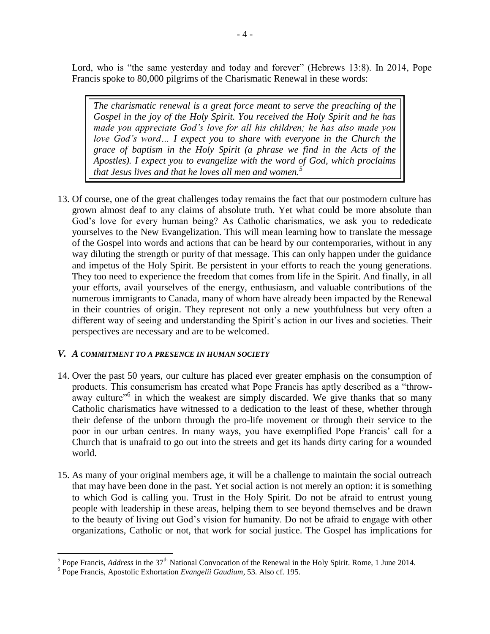Lord, who is "the same yesterday and today and forever" (Hebrews 13:8). In 2014, Pope Francis spoke to 80,000 pilgrims of the Charismatic Renewal in these words:

*The charismatic renewal is a great force meant to serve the preaching of the Gospel in the joy of the Holy Spirit. You received the Holy Spirit and he has made you appreciate God's love for all his children; he has also made you love God's word… I expect you to share with everyone in the Church the grace of baptism in the Holy Spirit (a phrase we find in the Acts of the Apostles). I expect you to evangelize with the word of God, which proclaims that Jesus lives and that he loves all men and women.<sup>5</sup>*

13. Of course, one of the great challenges today remains the fact that our postmodern culture has grown almost deaf to any claims of absolute truth. Yet what could be more absolute than God's love for every human being? As Catholic charismatics, we ask you to rededicate yourselves to the New Evangelization. This will mean learning how to translate the message of the Gospel into words and actions that can be heard by our contemporaries, without in any way diluting the strength or purity of that message. This can only happen under the guidance and impetus of the Holy Spirit. Be persistent in your efforts to reach the young generations. They too need to experience the freedom that comes from life in the Spirit. And finally, in all your efforts, avail yourselves of the energy, enthusiasm, and valuable contributions of the numerous immigrants to Canada, many of whom have already been impacted by the Renewal in their countries of origin. They represent not only a new youthfulness but very often a different way of seeing and understanding the Spirit's action in our lives and societies. Their perspectives are necessary and are to be welcomed.

## *V. A COMMITMENT TO A PRESENCE IN HUMAN SOCIETY*

- 14. Over the past 50 years, our culture has placed ever greater emphasis on the consumption of products. This consumerism has created what Pope Francis has aptly described as a "throwaway culture<sup>36</sup> in which the weakest are simply discarded. We give thanks that so many Catholic charismatics have witnessed to a dedication to the least of these, whether through their defense of the unborn through the pro-life movement or through their service to the poor in our urban centres. In many ways, you have exemplified Pope Francis' call for a Church that is unafraid to go out into the streets and get its hands dirty caring for a wounded world.
- 15. As many of your original members age, it will be a challenge to maintain the social outreach that may have been done in the past. Yet social action is not merely an option: it is something to which God is calling you. Trust in the Holy Spirit. Do not be afraid to entrust young people with leadership in these areas, helping them to see beyond themselves and be drawn to the beauty of living out God's vision for humanity. Do not be afraid to engage with other organizations, Catholic or not, that work for social justice. The Gospel has implications for

<sup>&</sup>lt;sup>5</sup> Pope Francis, *Address* in the 37<sup>th</sup> National Convocation of the Renewal in the Holy Spirit. Rome, 1 June 2014.

<sup>6</sup> Pope Francis, Apostolic Exhortation *Evangelii Gaudium*, 53. Also cf. 195.